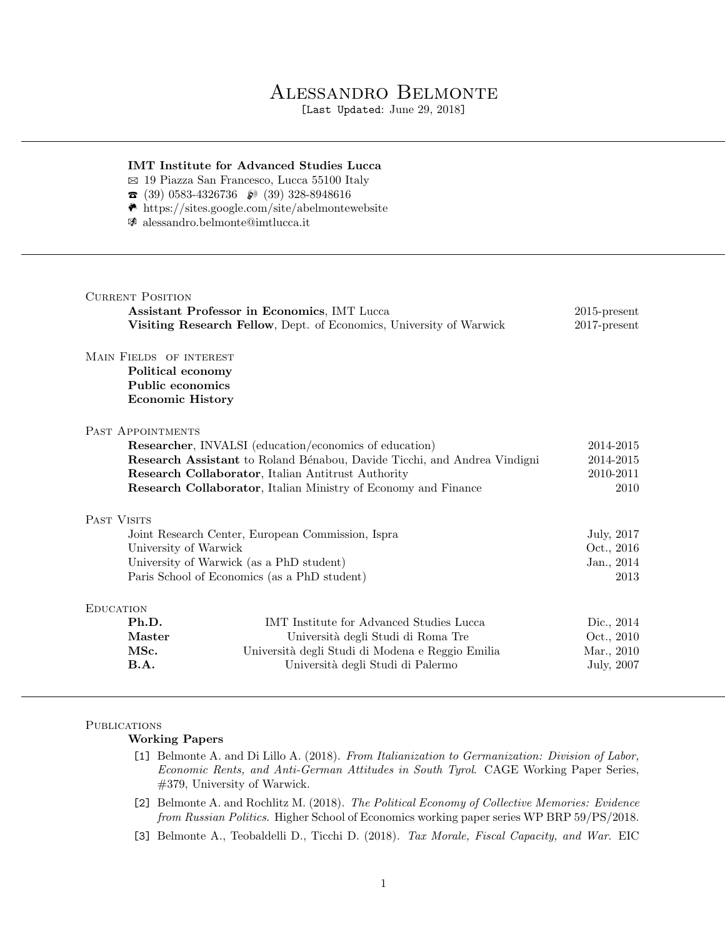# Alessandro Belmonte

[Last Updated: June 29, 2018]

## IMT Institute for Advanced Studies Lucca

- $\boxtimes$  19 Piazza San Francesco, Lucca 55100 Italy
- $\bullet$  (39) 0583-4326736  $\bullet$  (39) 328-8948616
- $\bullet$  https://sites.google.com/site/abelmontewebsite
- $\mathcal{F}$  alessandro.belmonte@imtlucca.it

|                                                                          | Assistant Professor in Economics, IMT Lucca<br>Visiting Research Fellow, Dept. of Economics, University of Warwick | $2015$ -present<br>$2017$ -present |
|--------------------------------------------------------------------------|--------------------------------------------------------------------------------------------------------------------|------------------------------------|
| MAIN FIELDS OF INTEREST                                                  |                                                                                                                    |                                    |
| Political economy                                                        |                                                                                                                    |                                    |
| Public economics                                                         |                                                                                                                    |                                    |
| <b>Economic History</b>                                                  |                                                                                                                    |                                    |
| PAST APPOINTMENTS                                                        |                                                                                                                    |                                    |
| Researcher, INVALSI (education/economics of education)                   |                                                                                                                    | 2014-2015                          |
| Research Assistant to Roland Bénabou, Davide Ticchi, and Andrea Vindigni |                                                                                                                    | 2014-2015                          |
| Research Collaborator, Italian Antitrust Authority                       |                                                                                                                    | 2010-2011                          |
|                                                                          | Research Collaborator, Italian Ministry of Economy and Finance                                                     | 2010                               |
| PAST VISITS                                                              |                                                                                                                    |                                    |
| Joint Research Center, European Commission, Ispra                        |                                                                                                                    | July, 2017                         |
| University of Warwick                                                    |                                                                                                                    | Oct., 2016                         |
| University of Warwick (as a PhD student)                                 |                                                                                                                    | Jan., 2014                         |
| Paris School of Economics (as a PhD student)                             |                                                                                                                    | 2013                               |
|                                                                          |                                                                                                                    |                                    |
| <b>EDUCATION</b>                                                         |                                                                                                                    |                                    |
| Ph.D.                                                                    | IMT Institute for Advanced Studies Lucca                                                                           |                                    |
| <b>Master</b>                                                            |                                                                                                                    | Dic., 2014                         |
| MSc.                                                                     | Università degli Studi di Roma Tre<br>Università degli Studi di Modena e Reggio Emilia                             | Oct., 2010<br>Mar., 2010           |

# **PUBLICATIONS**

Working Papers

- [1] Belmonte A. and Di Lillo A. (2018). From Italianization to Germanization: Division of Labor, Economic Rents, and Anti-German Attitudes in South Tyrol. CAGE Working Paper Series, #379, University of Warwick.
- [2] Belmonte A. and Rochlitz M. (2018). The Political Economy of Collective Memories: Evidence from Russian Politics. Higher School of Economics working paper series WP BRP 59/PS/2018.
- [3] Belmonte A., Teobaldelli D., Ticchi D. (2018). Tax Morale, Fiscal Capacity, and War. EIC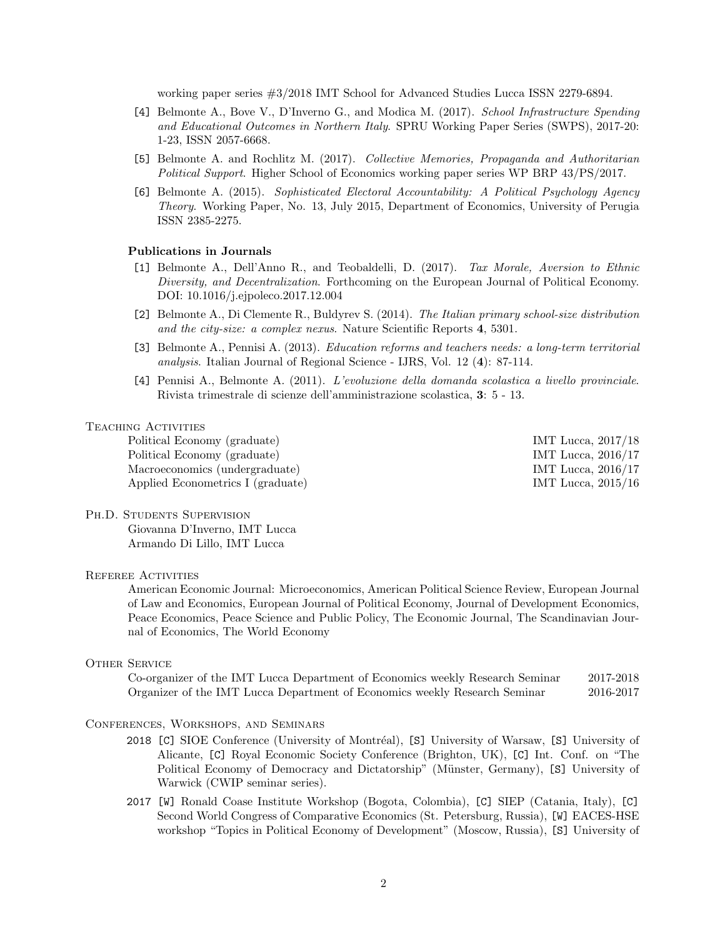working paper series #3/2018 IMT School for Advanced Studies Lucca ISSN 2279-6894.

- [4] Belmonte A., Bove V., D'Inverno G., and Modica M. (2017). School Infrastructure Spending and Educational Outcomes in Northern Italy. SPRU Working Paper Series (SWPS), 2017-20: 1-23, ISSN 2057-6668.
- [5] Belmonte A. and Rochlitz M. (2017). Collective Memories, Propaganda and Authoritarian Political Support. Higher School of Economics working paper series WP BRP 43/PS/2017.
- [6] Belmonte A. (2015). Sophisticated Electoral Accountability: A Political Psychology Agency Theory. Working Paper, No. 13, July 2015, Department of Economics, University of Perugia ISSN 2385-2275.

## Publications in Journals

- [1] Belmonte A., Dell'Anno R., and Teobaldelli, D. (2017). Tax Morale, Aversion to Ethnic Diversity, and Decentralization. Forthcoming on the European Journal of Political Economy. DOI: 10.1016/j.ejpoleco.2017.12.004
- [2] Belmonte A., Di Clemente R., Buldyrev S. (2014). The Italian primary school-size distribution and the city-size: a complex nexus. Nature Scientific Reports 4, 5301.
- [3] Belmonte A., Pennisi A. (2013). Education reforms and teachers needs: a long-term territorial analysis. Italian Journal of Regional Science - IJRS, Vol. 12 (4): 87-114.
- [4] Pennisi A., Belmonte A. (2011). L'evoluzione della domanda scolastica a livello provinciale. Rivista trimestrale di scienze dell'amministrazione scolastica, 3: 5 - 13.

#### TEACHING ACTIVITIES

Political Economy (graduate) **IMT** Lucca, 2017/18 Political Economy (graduate) **IMT** Lucca, 2016/17 Macroeconomics (undergraduate) IMT Lucca, 2016/17 Applied Econometrics I (graduate) IMT Lucca, 2015/16

## PH.D. STUDENTS SUPERVISION

Giovanna D'Inverno, IMT Lucca Armando Di Lillo, IMT Lucca

#### Referee Activities

American Economic Journal: Microeconomics, American Political Science Review, European Journal of Law and Economics, European Journal of Political Economy, Journal of Development Economics, Peace Economics, Peace Science and Public Policy, The Economic Journal, The Scandinavian Journal of Economics, The World Economy

#### OTHER SERVICE

Co-organizer of the IMT Lucca Department of Economics weekly Research Seminar 2017-2018 Organizer of the IMT Lucca Department of Economics weekly Research Seminar 2016-2017

#### Conferences, Workshops, and Seminars

- 2018 [C] SIOE Conference (University of Montréal), [S] University of Warsaw, [S] University of Alicante, [C] Royal Economic Society Conference (Brighton, UK), [C] Int. Conf. on "The Political Economy of Democracy and Dictatorship" (Münster, Germany), [S] University of Warwick (CWIP seminar series).
- 2017 [W] Ronald Coase Institute Workshop (Bogota, Colombia), [C] SIEP (Catania, Italy), [C] Second World Congress of Comparative Economics (St. Petersburg, Russia), [W] EACES-HSE workshop "Topics in Political Economy of Development" (Moscow, Russia), [S] University of